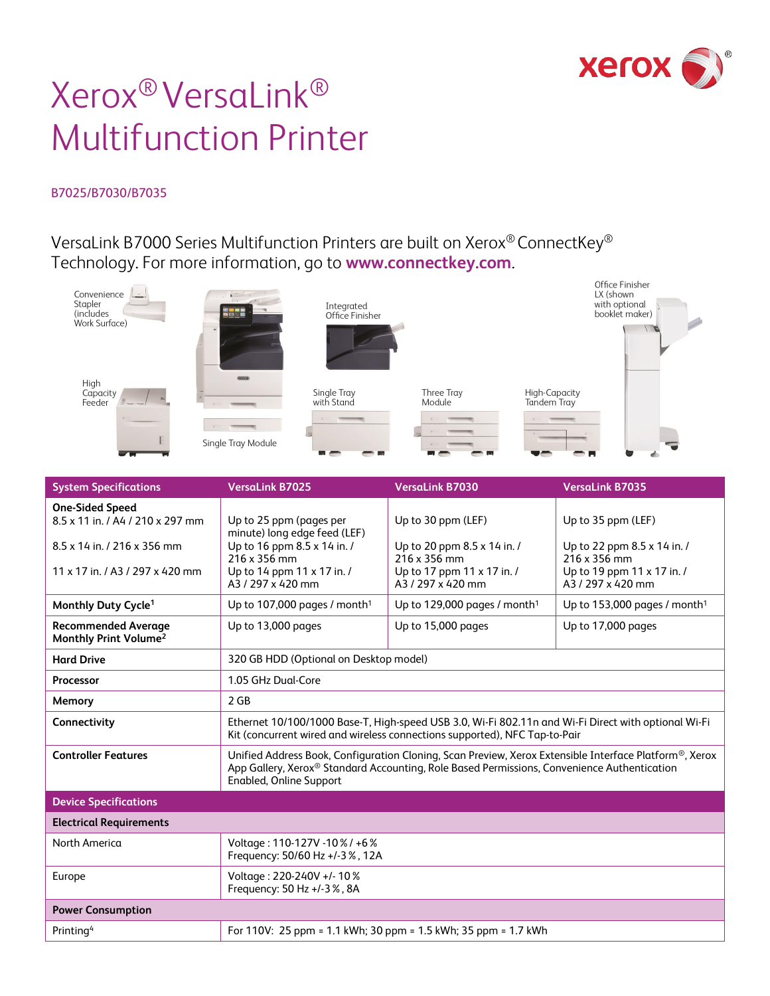

# Xerox® VersaLink® Multifunction Printer

#### B7025/B7030/B7035

VersaLink B7000 Series Multifunction Printers are built on Xerox® ConnectKey® Technology. For more information, go to **[www.connectkey.com](http://www.connectkey.com/)**.



| <b>System Specifications</b>                                    | <b>VersaLink B7025</b>                                                                                                                                                                                                                                           | <b>VersaLink B7030</b>                          | <b>VersaLink B7035</b>                        |
|-----------------------------------------------------------------|------------------------------------------------------------------------------------------------------------------------------------------------------------------------------------------------------------------------------------------------------------------|-------------------------------------------------|-----------------------------------------------|
| <b>One-Sided Speed</b>                                          |                                                                                                                                                                                                                                                                  |                                                 |                                               |
| 8.5 x 11 in. / A4 / 210 x 297 mm                                | Up to 25 ppm (pages per<br>minute) long edge feed (LEF)                                                                                                                                                                                                          | Up to 30 ppm (LEF)                              | Up to 35 ppm (LEF)                            |
| 8.5 x 14 in. / 216 x 356 mm                                     | Up to 16 ppm 8.5 x 14 in. /<br>216 x 356 mm                                                                                                                                                                                                                      | Up to 20 ppm 8.5 x 14 in. /<br>216 x 356 mm     | Up to 22 ppm 8.5 x 14 in. /<br>216 x 356 mm   |
| 11 x 17 in / A3 / 297 x 420 mm                                  | Up to 14 ppm 11 x 17 in. /<br>A3/297 x 420 mm                                                                                                                                                                                                                    | Up to 17 ppm 11 x 17 in. /<br>A3 / 297 x 420 mm | Up to 19 ppm 11 x 17 in. /<br>A3/297 x 420 mm |
| Monthly Duty Cycle <sup>1</sup>                                 | Up to 107,000 pages / month <sup>1</sup>                                                                                                                                                                                                                         | Up to 129,000 pages / month <sup>1</sup>        | Up to 153,000 pages / month <sup>1</sup>      |
| <b>Recommended Average</b><br>Monthly Print Volume <sup>2</sup> | Up to 13,000 pages                                                                                                                                                                                                                                               | Up to 15,000 pages                              | Up to 17,000 pages                            |
| <b>Hard Drive</b>                                               | 320 GB HDD (Optional on Desktop model)                                                                                                                                                                                                                           |                                                 |                                               |
| Processor                                                       | 1.05 GHz Dual-Core                                                                                                                                                                                                                                               |                                                 |                                               |
| Memory                                                          | 2 <sub>GB</sub>                                                                                                                                                                                                                                                  |                                                 |                                               |
| Connectivity                                                    | Ethernet 10/100/1000 Base-T, High-speed USB 3.0, Wi-Fi 802.11n and Wi-Fi Direct with optional Wi-Fi<br>Kit (concurrent wired and wireless connections supported), NFC Tap-to-Pair                                                                                |                                                 |                                               |
| <b>Controller Features</b>                                      | Unified Address Book, Configuration Cloning, Scan Preview, Xerox Extensible Interface Platform <sup>®</sup> , Xerox<br>App Gallery, Xerox <sup>®</sup> Standard Accounting, Role Based Permissions, Convenience Authentication<br><b>Enabled, Online Support</b> |                                                 |                                               |
| <b>Device Specifications</b>                                    |                                                                                                                                                                                                                                                                  |                                                 |                                               |
| <b>Electrical Requirements</b>                                  |                                                                                                                                                                                                                                                                  |                                                 |                                               |
| North America                                                   | Voltage: 110-127V -10%/ +6%<br>Frequency: 50/60 Hz +/-3%, 12A                                                                                                                                                                                                    |                                                 |                                               |
| Europe                                                          | Voltage: 220-240V +/-10%<br>Frequency: 50 Hz +/-3%, 8A                                                                                                                                                                                                           |                                                 |                                               |
| <b>Power Consumption</b>                                        |                                                                                                                                                                                                                                                                  |                                                 |                                               |
| Printing <sup>4</sup>                                           | For 110V: 25 ppm = 1.1 kWh; 30 ppm = 1.5 kWh; 35 ppm = 1.7 kWh                                                                                                                                                                                                   |                                                 |                                               |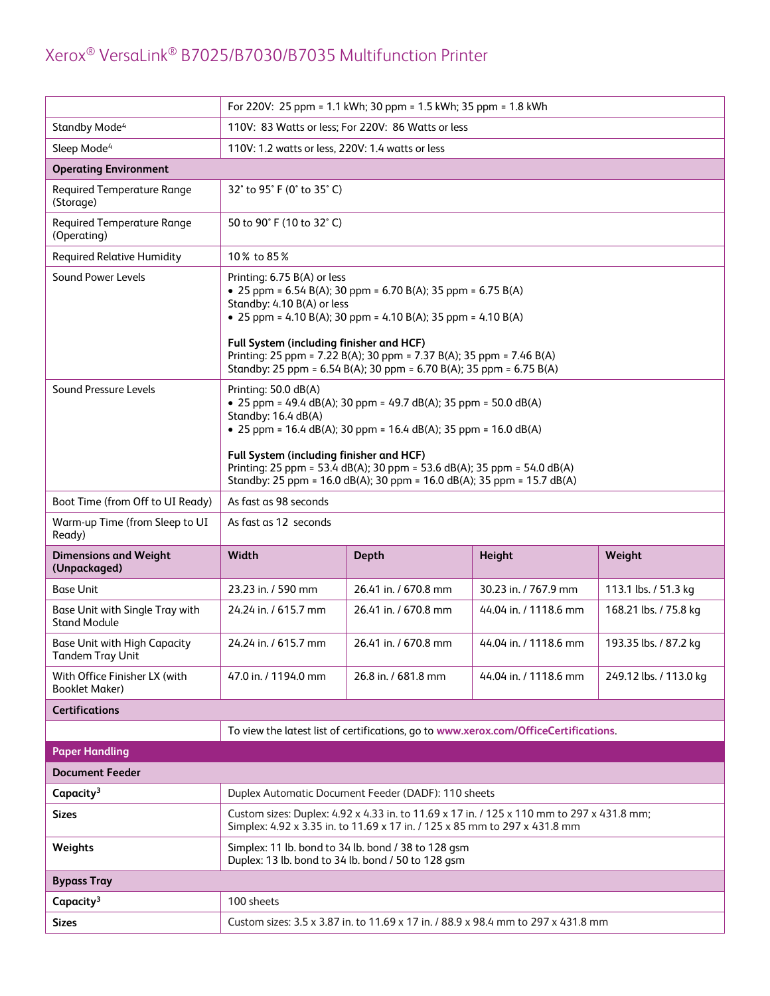|                                                         | For 220V: 25 ppm = 1.1 kWh; 30 ppm = 1.5 kWh; 35 ppm = 1.8 kWh                                                                                                                                                                                                                                                                                                                               |                                                                                                           |                                                                                           |                        |
|---------------------------------------------------------|----------------------------------------------------------------------------------------------------------------------------------------------------------------------------------------------------------------------------------------------------------------------------------------------------------------------------------------------------------------------------------------------|-----------------------------------------------------------------------------------------------------------|-------------------------------------------------------------------------------------------|------------------------|
| Standby Mode <sup>4</sup>                               | 110V: 83 Watts or less; For 220V: 86 Watts or less                                                                                                                                                                                                                                                                                                                                           |                                                                                                           |                                                                                           |                        |
| Sleep Mode <sup>4</sup>                                 | 110V: 1.2 watts or less, 220V: 1.4 watts or less                                                                                                                                                                                                                                                                                                                                             |                                                                                                           |                                                                                           |                        |
| <b>Operating Environment</b>                            |                                                                                                                                                                                                                                                                                                                                                                                              |                                                                                                           |                                                                                           |                        |
| <b>Required Temperature Range</b><br>(Storage)          | 32° to 95° F (0° to 35° C)                                                                                                                                                                                                                                                                                                                                                                   |                                                                                                           |                                                                                           |                        |
| <b>Required Temperature Range</b><br>(Operating)        | 50 to 90° F (10 to 32° C)                                                                                                                                                                                                                                                                                                                                                                    |                                                                                                           |                                                                                           |                        |
| <b>Required Relative Humidity</b>                       | 10% to 85%                                                                                                                                                                                                                                                                                                                                                                                   |                                                                                                           |                                                                                           |                        |
| Sound Power Levels                                      | Printing: 6.75 B(A) or less<br>• 25 ppm = $6.54 B(A)$ ; 30 ppm = $6.70 B(A)$ ; 35 ppm = $6.75 B(A)$<br>Standby: 4.10 B(A) or less<br>• 25 ppm = 4.10 B(A); 30 ppm = 4.10 B(A); 35 ppm = 4.10 B(A)<br>Full System (including finisher and HCF)<br>Printing: 25 ppm = 7.22 B(A); 30 ppm = 7.37 B(A); 35 ppm = 7.46 B(A)<br>Standby: 25 ppm = 6.54 B(A); 30 ppm = 6.70 B(A); 35 ppm = 6.75 B(A) |                                                                                                           |                                                                                           |                        |
| Sound Pressure Levels                                   | Printing: 50.0 dB(A)<br>• 25 ppm = 49.4 dB(A); 30 ppm = 49.7 dB(A); 35 ppm = 50.0 dB(A)<br>Standby: 16.4 dB(A)<br>• 25 ppm = 16.4 dB(A); 30 ppm = 16.4 dB(A); 35 ppm = 16.0 dB(A)<br>Full System (including finisher and HCF)<br>Printing: 25 ppm = 53.4 dB(A); 30 ppm = 53.6 dB(A); 35 ppm = 54.0 dB(A)<br>Standby: 25 ppm = 16.0 dB(A); 30 ppm = 16.0 dB(A); 35 ppm = 15.7 dB(A)           |                                                                                                           |                                                                                           |                        |
| Boot Time (from Off to UI Ready)                        | As fast as 98 seconds                                                                                                                                                                                                                                                                                                                                                                        |                                                                                                           |                                                                                           |                        |
| Warm-up Time (from Sleep to UI<br>Ready)                | As fast as 12 seconds                                                                                                                                                                                                                                                                                                                                                                        |                                                                                                           |                                                                                           |                        |
|                                                         | Width<br>Height<br>Weight<br><b>Depth</b>                                                                                                                                                                                                                                                                                                                                                    |                                                                                                           |                                                                                           |                        |
| <b>Dimensions and Weight</b><br>(Unpackaged)            |                                                                                                                                                                                                                                                                                                                                                                                              |                                                                                                           |                                                                                           |                        |
| <b>Base Unit</b>                                        | 23.23 in. / 590 mm                                                                                                                                                                                                                                                                                                                                                                           | 26.41 in. / 670.8 mm                                                                                      | 30.23 in. / 767.9 mm                                                                      | 113.1 lbs. / 51.3 kg   |
| Base Unit with Single Tray with<br><b>Stand Module</b>  | 24.24 in. / 615.7 mm                                                                                                                                                                                                                                                                                                                                                                         | 26.41 in. / 670.8 mm                                                                                      | 44.04 in. / 1118.6 mm                                                                     | 168.21 lbs. / 75.8 kg  |
| <b>Base Unit with High Capacity</b><br>Tandem Tray Unit | 24.24 in. / 615.7 mm                                                                                                                                                                                                                                                                                                                                                                         | 26.41 in. / 670.8 mm                                                                                      | 44.04 in. / 1118.6 mm                                                                     | 193.35 lbs. / 87.2 kg  |
| With Office Finisher LX (with<br><b>Booklet Maker)</b>  | 47.0 in. / 1194.0 mm                                                                                                                                                                                                                                                                                                                                                                         | 26.8 in. / 681.8 mm                                                                                       | 44.04 in. / 1118.6 mm                                                                     | 249.12 lbs. / 113.0 kg |
| <b>Certifications</b>                                   |                                                                                                                                                                                                                                                                                                                                                                                              |                                                                                                           |                                                                                           |                        |
|                                                         |                                                                                                                                                                                                                                                                                                                                                                                              |                                                                                                           | To view the latest list of certifications, go to www.xerox.com/OfficeCertifications.      |                        |
| <b>Paper Handling</b>                                   |                                                                                                                                                                                                                                                                                                                                                                                              |                                                                                                           |                                                                                           |                        |
| <b>Document Feeder</b>                                  |                                                                                                                                                                                                                                                                                                                                                                                              |                                                                                                           |                                                                                           |                        |
| Capacity <sup>3</sup>                                   |                                                                                                                                                                                                                                                                                                                                                                                              | Duplex Automatic Document Feeder (DADF): 110 sheets                                                       |                                                                                           |                        |
| <b>Sizes</b>                                            |                                                                                                                                                                                                                                                                                                                                                                                              | Simplex: 4.92 x 3.35 in. to 11.69 x 17 in. / 125 x 85 mm to 297 x 431.8 mm                                | Custom sizes: Duplex: 4.92 x 4.33 in. to 11.69 x 17 in. / 125 x 110 mm to 297 x 431.8 mm; |                        |
| Weights                                                 |                                                                                                                                                                                                                                                                                                                                                                                              | Simplex: 11 lb. bond to 34 lb. bond / 38 to 128 gsm<br>Duplex: 13 lb. bond to 34 lb. bond / 50 to 128 qsm |                                                                                           |                        |
| <b>Bypass Tray</b>                                      |                                                                                                                                                                                                                                                                                                                                                                                              |                                                                                                           |                                                                                           |                        |
| Capacity <sup>3</sup>                                   | 100 sheets                                                                                                                                                                                                                                                                                                                                                                                   |                                                                                                           |                                                                                           |                        |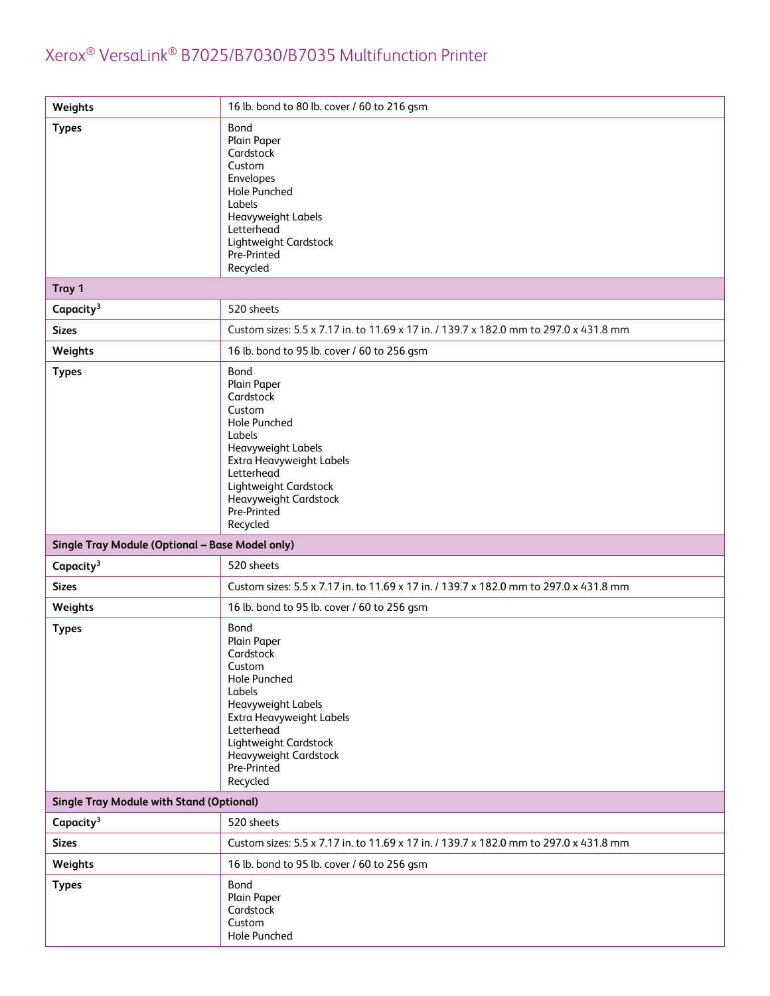| Weights                                         | 16 lb. bond to 80 lb. cover / 60 to 216 gsm                                                                                                                                                                                     |
|-------------------------------------------------|---------------------------------------------------------------------------------------------------------------------------------------------------------------------------------------------------------------------------------|
| <b>Types</b>                                    | Bond<br>Plain Paper<br>Cardstock<br>Custom<br>Envelopes<br>Hole Punched<br>Labels<br>Heavyweight Labels<br>Letterhead<br>Lightweight Cardstock<br>Pre-Printed<br>Recycled                                                       |
| Tray 1                                          |                                                                                                                                                                                                                                 |
| Capacity <sup>3</sup>                           | 520 sheets                                                                                                                                                                                                                      |
| <b>Sizes</b>                                    | Custom sizes: 5.5 x 7.17 in. to 11.69 x 17 in. / 139.7 x 182.0 mm to 297.0 x 431.8 mm                                                                                                                                           |
| Weights                                         | 16 lb. bond to 95 lb. cover / 60 to 256 gsm                                                                                                                                                                                     |
| <b>Types</b>                                    | Bond<br>Plain Paper<br>Cardstock<br>Custom<br><b>Hole Punched</b><br>Labels<br>Heavyweight Labels<br>Extra Heavyweight Labels<br>Letterhead<br>Lightweight Cardstock<br><b>Heavyweight Cardstock</b><br>Pre-Printed<br>Recycled |
| Single Tray Module (Optional - Base Model only) |                                                                                                                                                                                                                                 |
| Capacity <sup>3</sup>                           | 520 sheets                                                                                                                                                                                                                      |
| <b>Sizes</b>                                    | Custom sizes: 5.5 x 7.17 in. to 11.69 x 17 in. / 139.7 x 182.0 mm to 297.0 x 431.8 mm                                                                                                                                           |
| Weights                                         | 16 lb. bond to 95 lb. cover / 60 to 256 gsm                                                                                                                                                                                     |
| <b>Types</b>                                    | Bond<br>Plain Paper<br>Cardstock<br>Custom<br><b>Hole Punched</b><br>Labels<br>Heavyweight Labels<br>Extra Heavyweight Labels<br>Letterhead<br>Lightweight Cardstock<br><b>Heavyweight Cardstock</b><br>Pre-Printed<br>Recycled |
| <b>Single Tray Module with Stand (Optional)</b> |                                                                                                                                                                                                                                 |
| Capacity <sup>3</sup>                           | 520 sheets                                                                                                                                                                                                                      |
| <b>Sizes</b>                                    | Custom sizes: 5.5 x 7.17 in. to 11.69 x 17 in. / 139.7 x 182.0 mm to 297.0 x 431.8 mm                                                                                                                                           |
| Weights                                         | 16 lb. bond to 95 lb. cover / 60 to 256 gsm                                                                                                                                                                                     |
| <b>Types</b>                                    | Bond<br>Plain Paper<br>Cardstock<br>Custom<br>Hole Punched                                                                                                                                                                      |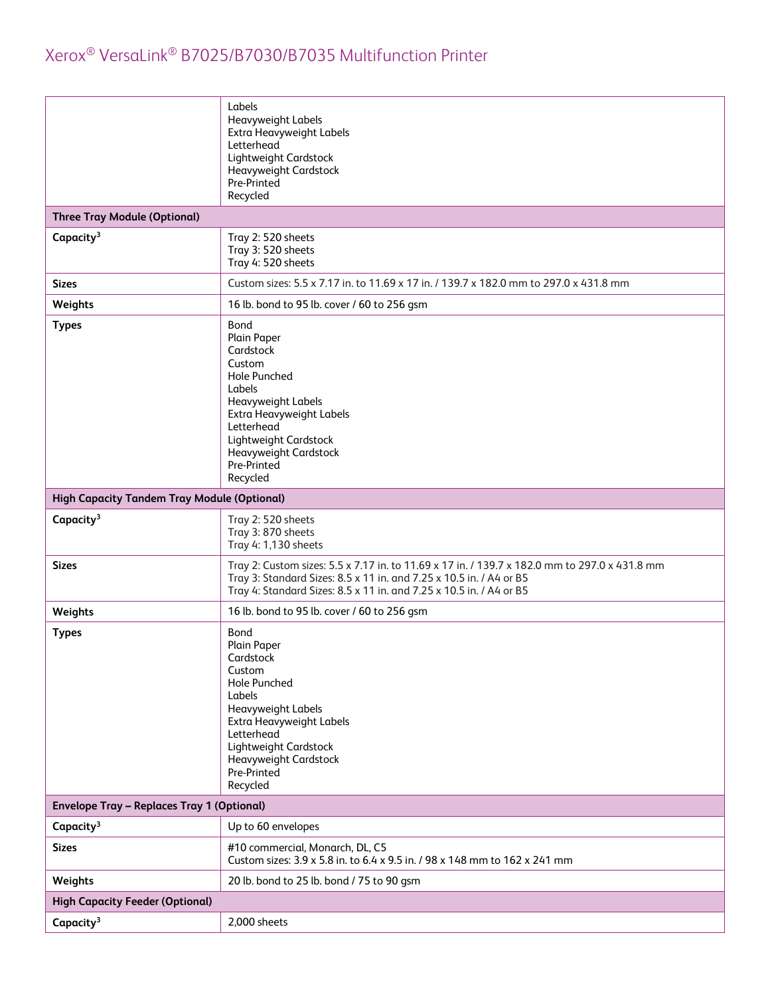|                                                    | Labels<br>Heavyweight Labels<br>Extra Heavyweight Labels<br>Letterhead<br>Lightweight Cardstock<br>Heavyweight Cardstock<br>Pre-Printed<br>Recycled                                                                                         |
|----------------------------------------------------|---------------------------------------------------------------------------------------------------------------------------------------------------------------------------------------------------------------------------------------------|
| <b>Three Tray Module (Optional)</b>                |                                                                                                                                                                                                                                             |
| Capacity <sup>3</sup>                              | Tray 2:520 sheets<br>Tray 3: 520 sheets<br>Tray 4: 520 sheets                                                                                                                                                                               |
| <b>Sizes</b>                                       | Custom sizes: 5.5 x 7.17 in. to 11.69 x 17 in. / 139.7 x 182.0 mm to 297.0 x 431.8 mm                                                                                                                                                       |
| Weights                                            | 16 lb. bond to 95 lb. cover / 60 to 256 gsm                                                                                                                                                                                                 |
| <b>Types</b>                                       | Bond<br>Plain Paper<br>Cardstock<br>Custom<br><b>Hole Punched</b><br>Labels<br>Heavyweight Labels<br>Extra Heavyweight Labels<br>Letterhead<br>Lightweight Cardstock<br><b>Heavyweight Cardstock</b><br>Pre-Printed<br>Recycled             |
| <b>High Capacity Tandem Tray Module (Optional)</b> |                                                                                                                                                                                                                                             |
| Capacity <sup>3</sup>                              | Tray 2:520 sheets<br>Tray 3:870 sheets<br>Tray 4: 1,130 sheets                                                                                                                                                                              |
| <b>Sizes</b>                                       | Tray 2: Custom sizes: 5.5 x 7.17 in. to 11.69 x 17 in. / 139.7 x 182.0 mm to 297.0 x 431.8 mm<br>Tray 3: Standard Sizes: 8.5 x 11 in. and 7.25 x 10.5 in. / A4 or B5<br>Tray 4: Standard Sizes: 8.5 x 11 in. and 7.25 x 10.5 in. / A4 or B5 |
| Weights                                            | 16 lb. bond to 95 lb. cover / 60 to 256 gsm                                                                                                                                                                                                 |
| <b>Types</b>                                       | Bond<br>Plain Paper<br>Cardstock<br>Custom<br><b>Hole Punched</b><br>Labels<br>Heavyweight Labels<br>Extra Heavyweight Labels<br>Letterhead<br>Lightweight Cardstock<br>Heavyweight Cardstock<br>Pre-Printed<br>Recycled                    |
| <b>Envelope Tray - Replaces Tray 1 (Optional)</b>  |                                                                                                                                                                                                                                             |
| Capacity <sup>3</sup>                              | Up to 60 envelopes                                                                                                                                                                                                                          |
| <b>Sizes</b>                                       | #10 commercial, Monarch, DL, C5<br>Custom sizes: 3.9 x 5.8 in. to 6.4 x 9.5 in. / 98 x 148 mm to 162 x 241 mm                                                                                                                               |
| Weights                                            | 20 lb. bond to 25 lb. bond / 75 to 90 gsm                                                                                                                                                                                                   |
| <b>High Capacity Feeder (Optional)</b>             |                                                                                                                                                                                                                                             |
| Capacity <sup>3</sup>                              | 2,000 sheets                                                                                                                                                                                                                                |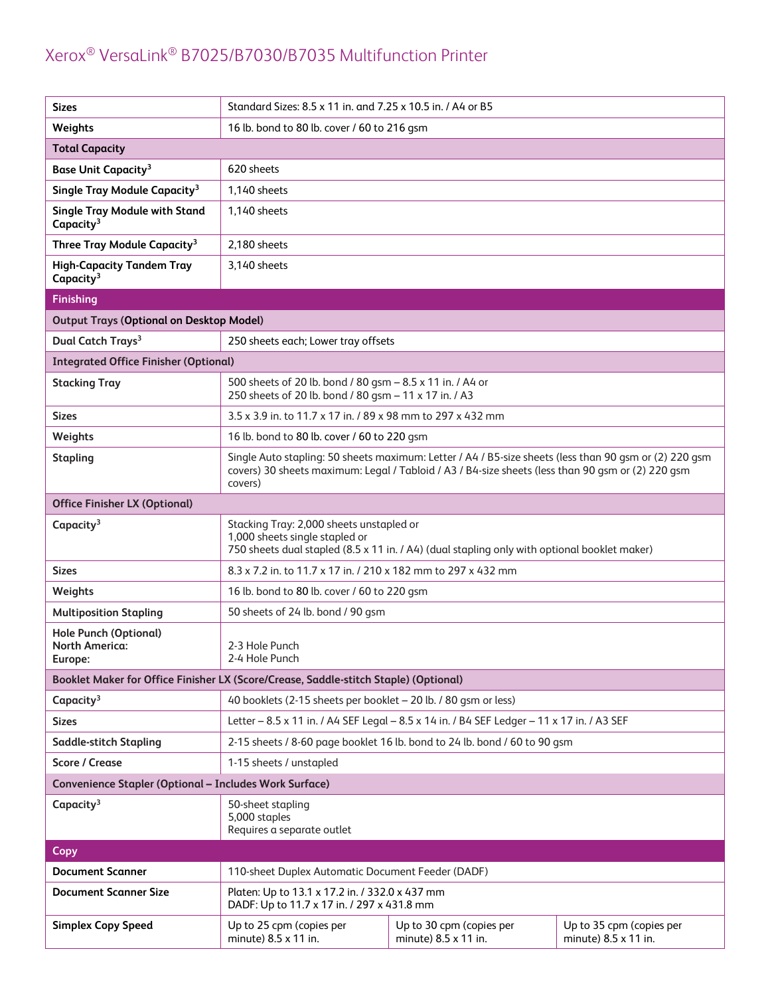| <b>Sizes</b>                                                                         | Standard Sizes: 8.5 x 11 in. and 7.25 x 10.5 in. / A4 or B5                                                                                                                                                            |                                                  |                                                  |
|--------------------------------------------------------------------------------------|------------------------------------------------------------------------------------------------------------------------------------------------------------------------------------------------------------------------|--------------------------------------------------|--------------------------------------------------|
| Weights                                                                              | 16 lb. bond to 80 lb. cover / 60 to 216 gsm                                                                                                                                                                            |                                                  |                                                  |
| <b>Total Capacity</b>                                                                |                                                                                                                                                                                                                        |                                                  |                                                  |
| <b>Base Unit Capacity<sup>3</sup></b>                                                | 620 sheets                                                                                                                                                                                                             |                                                  |                                                  |
| Single Tray Module Capacity <sup>3</sup>                                             | 1,140 sheets                                                                                                                                                                                                           |                                                  |                                                  |
| <b>Single Tray Module with Stand</b><br>Capacity <sup>3</sup>                        | 1,140 sheets                                                                                                                                                                                                           |                                                  |                                                  |
| Three Tray Module Capacity <sup>3</sup>                                              | 2,180 sheets                                                                                                                                                                                                           |                                                  |                                                  |
| <b>High-Capacity Tandem Tray</b><br>Capacity <sup>3</sup>                            | 3,140 sheets                                                                                                                                                                                                           |                                                  |                                                  |
| <b>Finishing</b>                                                                     |                                                                                                                                                                                                                        |                                                  |                                                  |
| <b>Output Trays (Optional on Desktop Model)</b>                                      |                                                                                                                                                                                                                        |                                                  |                                                  |
| Dual Catch Trays <sup>3</sup>                                                        | 250 sheets each; Lower tray offsets                                                                                                                                                                                    |                                                  |                                                  |
| <b>Integrated Office Finisher (Optional)</b>                                         |                                                                                                                                                                                                                        |                                                  |                                                  |
| <b>Stacking Tray</b>                                                                 | 500 sheets of 20 lb. bond / 80 gsm - 8.5 x 11 in. / A4 or<br>250 sheets of 20 lb. bond / 80 qsm - 11 x 17 in. / A3                                                                                                     |                                                  |                                                  |
| <b>Sizes</b>                                                                         | 3.5 x 3.9 in. to 11.7 x 17 in. / 89 x 98 mm to 297 x 432 mm                                                                                                                                                            |                                                  |                                                  |
| Weights                                                                              | 16 lb. bond to 80 lb. cover / 60 to 220 gsm                                                                                                                                                                            |                                                  |                                                  |
| <b>Stapling</b>                                                                      | Single Auto stapling: 50 sheets maximum: Letter / A4 / B5-size sheets (less than 90 gsm or (2) 220 gsm<br>covers) 30 sheets maximum: Legal / Tabloid / A3 / B4-size sheets (less than 90 gsm or (2) 220 gsm<br>covers) |                                                  |                                                  |
| <b>Office Finisher LX (Optional)</b>                                                 |                                                                                                                                                                                                                        |                                                  |                                                  |
| Capacity <sup>3</sup>                                                                | Stacking Tray: 2,000 sheets unstapled or<br>1,000 sheets single stapled or<br>750 sheets dual stapled (8.5 x 11 in. / A4) (dual stapling only with optional booklet maker)                                             |                                                  |                                                  |
| <b>Sizes</b>                                                                         | 8.3 x 7.2 in. to 11.7 x 17 in. / 210 x 182 mm to 297 x 432 mm                                                                                                                                                          |                                                  |                                                  |
| Weights                                                                              | 16 lb. bond to 80 lb. cover / 60 to 220 gsm                                                                                                                                                                            |                                                  |                                                  |
| <b>Multiposition Stapling</b>                                                        | 50 sheets of 24 lb. bond / 90 gsm                                                                                                                                                                                      |                                                  |                                                  |
| <b>Hole Punch (Optional)</b><br><b>North America:</b><br>Europe:                     | 2-3 Hole Punch<br>2-4 Hole Punch                                                                                                                                                                                       |                                                  |                                                  |
| Booklet Maker for Office Finisher LX (Score/Crease, Saddle-stitch Staple) (Optional) |                                                                                                                                                                                                                        |                                                  |                                                  |
| Capacity <sup>3</sup>                                                                | 40 booklets (2-15 sheets per booklet - 20 lb. / 80 gsm or less)                                                                                                                                                        |                                                  |                                                  |
| <b>Sizes</b>                                                                         | Letter - 8.5 x 11 in. / A4 SEF Legal - 8.5 x 14 in. / B4 SEF Ledger - 11 x 17 in. / A3 SEF                                                                                                                             |                                                  |                                                  |
| <b>Saddle-stitch Stapling</b>                                                        | 2-15 sheets / 8-60 page booklet 16 lb. bond to 24 lb. bond / 60 to 90 gsm                                                                                                                                              |                                                  |                                                  |
| <b>Score / Crease</b>                                                                | 1-15 sheets / unstapled                                                                                                                                                                                                |                                                  |                                                  |
| Convenience Stapler (Optional - Includes Work Surface)                               |                                                                                                                                                                                                                        |                                                  |                                                  |
| Capacity <sup>3</sup>                                                                | 50-sheet stapling<br>5,000 staples<br>Requires a separate outlet                                                                                                                                                       |                                                  |                                                  |
| <b>Copy</b>                                                                          |                                                                                                                                                                                                                        |                                                  |                                                  |
| <b>Document Scanner</b>                                                              | 110-sheet Duplex Automatic Document Feeder (DADF)                                                                                                                                                                      |                                                  |                                                  |
| <b>Document Scanner Size</b>                                                         | Platen: Up to 13.1 x 17.2 in. / 332.0 x 437 mm<br>DADF: Up to 11.7 x 17 in. / 297 x 431.8 mm                                                                                                                           |                                                  |                                                  |
| <b>Simplex Copy Speed</b>                                                            | Up to 25 cpm (copies per<br>minute) 8.5 x 11 in.                                                                                                                                                                       | Up to 30 cpm (copies per<br>minute) 8.5 x 11 in. | Up to 35 cpm (copies per<br>minute) 8.5 x 11 in. |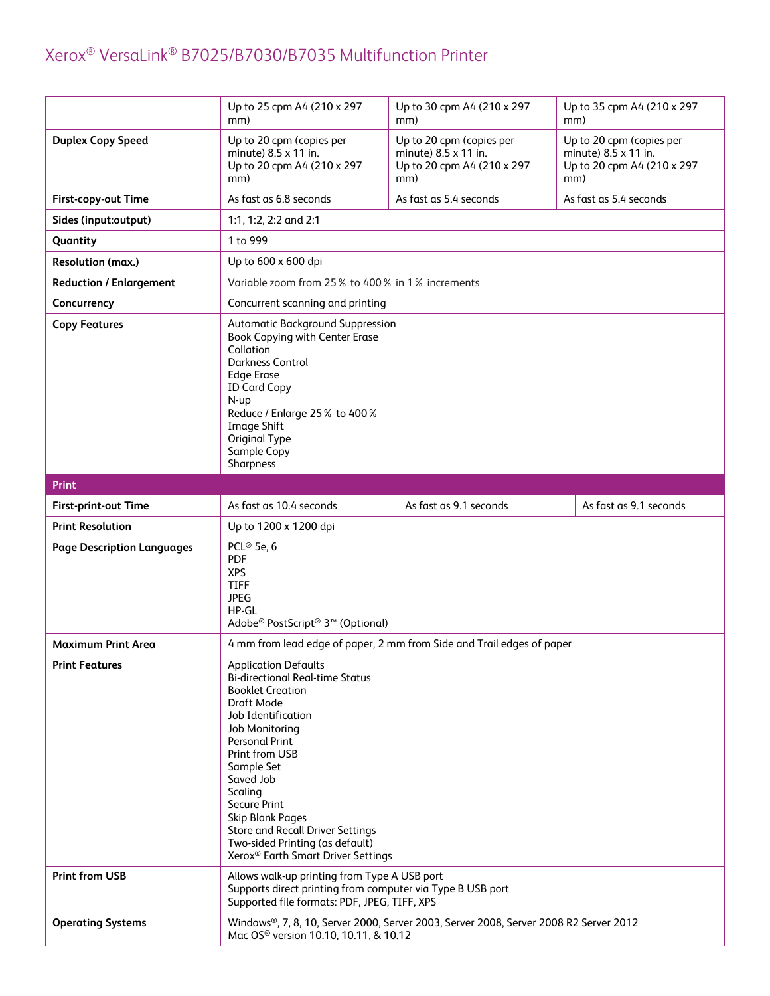|                                   | Up to 25 cpm A4 (210 x 297<br>mm)                                                                                                                                                                                                                                                                                                                                                                                  | Up to 30 cpm A4 (210 x 297<br>mm)                                                     | Up to 35 cpm A4 (210 x 297<br>mm)                                                     |
|-----------------------------------|--------------------------------------------------------------------------------------------------------------------------------------------------------------------------------------------------------------------------------------------------------------------------------------------------------------------------------------------------------------------------------------------------------------------|---------------------------------------------------------------------------------------|---------------------------------------------------------------------------------------|
| <b>Duplex Copy Speed</b>          | Up to 20 cpm (copies per<br>minute) 8.5 x 11 in.<br>Up to 20 cpm A4 (210 x 297<br>mm)                                                                                                                                                                                                                                                                                                                              | Up to 20 cpm (copies per<br>minute) 8.5 x 11 in.<br>Up to 20 cpm A4 (210 x 297<br>mm) | Up to 20 cpm (copies per<br>minute) 8.5 x 11 in.<br>Up to 20 cpm A4 (210 x 297<br>mm) |
| First-copy-out Time               | As fast as 6.8 seconds                                                                                                                                                                                                                                                                                                                                                                                             | As fast as 5.4 seconds                                                                | As fast as 5.4 seconds                                                                |
| Sides (input:output)              | 1:1, 1:2, 2:2 and 2:1                                                                                                                                                                                                                                                                                                                                                                                              |                                                                                       |                                                                                       |
| Quantity                          | 1 to 999                                                                                                                                                                                                                                                                                                                                                                                                           |                                                                                       |                                                                                       |
| Resolution (max.)                 | Up to 600 x 600 dpi                                                                                                                                                                                                                                                                                                                                                                                                |                                                                                       |                                                                                       |
| <b>Reduction / Enlargement</b>    | Variable zoom from 25% to 400% in 1% increments                                                                                                                                                                                                                                                                                                                                                                    |                                                                                       |                                                                                       |
| Concurrency                       | Concurrent scanning and printing                                                                                                                                                                                                                                                                                                                                                                                   |                                                                                       |                                                                                       |
| <b>Copy Features</b>              | Automatic Background Suppression<br>Book Copying with Center Erase<br>Collation<br><b>Darkness Control</b><br><b>Edge Erase</b><br><b>ID Card Copy</b><br>$N$ -up<br>Reduce / Enlarge 25% to 400%<br><b>Image Shift</b><br>Original Type<br>Sample Copy<br>Sharpness                                                                                                                                               |                                                                                       |                                                                                       |
| <b>Print</b>                      |                                                                                                                                                                                                                                                                                                                                                                                                                    |                                                                                       |                                                                                       |
| First-print-out Time              | As fast as 10.4 seconds                                                                                                                                                                                                                                                                                                                                                                                            | As fast as 9.1 seconds                                                                | As fast as 9.1 seconds                                                                |
| <b>Print Resolution</b>           | Up to 1200 x 1200 dpi                                                                                                                                                                                                                                                                                                                                                                                              |                                                                                       |                                                                                       |
| <b>Page Description Languages</b> | PCL® 5e, 6<br><b>PDF</b><br><b>XPS</b><br><b>TIFF</b><br><b>JPEG</b><br>HP-GL<br>Adobe <sup>®</sup> PostScript <sup>®</sup> 3 <sup>™</sup> (Optional)                                                                                                                                                                                                                                                              |                                                                                       |                                                                                       |
| <b>Maximum Print Area</b>         |                                                                                                                                                                                                                                                                                                                                                                                                                    | 4 mm from lead edge of paper, 2 mm from Side and Trail edges of paper                 |                                                                                       |
| <b>Print Features</b>             | <b>Application Defaults</b><br><b>Bi-directional Real-time Status</b><br><b>Booklet Creation</b><br>Draft Mode<br>Job Identification<br>Job Monitoring<br><b>Personal Print</b><br>Print from USB<br>Sample Set<br>Saved Job<br>Scaling<br>Secure Print<br><b>Skip Blank Pages</b><br><b>Store and Recall Driver Settings</b><br>Two-sided Printing (as default)<br>Xerox <sup>®</sup> Earth Smart Driver Settings |                                                                                       |                                                                                       |
| <b>Print from USB</b>             | Allows walk-up printing from Type A USB port<br>Supports direct printing from computer via Type B USB port<br>Supported file formats: PDF, JPEG, TIFF, XPS                                                                                                                                                                                                                                                         |                                                                                       |                                                                                       |
| <b>Operating Systems</b>          | Windows®, 7, 8, 10, Server 2000, Server 2003, Server 2008, Server 2008 R2 Server 2012<br>Mac OS <sup>®</sup> version 10.10, 10.11, & 10.12                                                                                                                                                                                                                                                                         |                                                                                       |                                                                                       |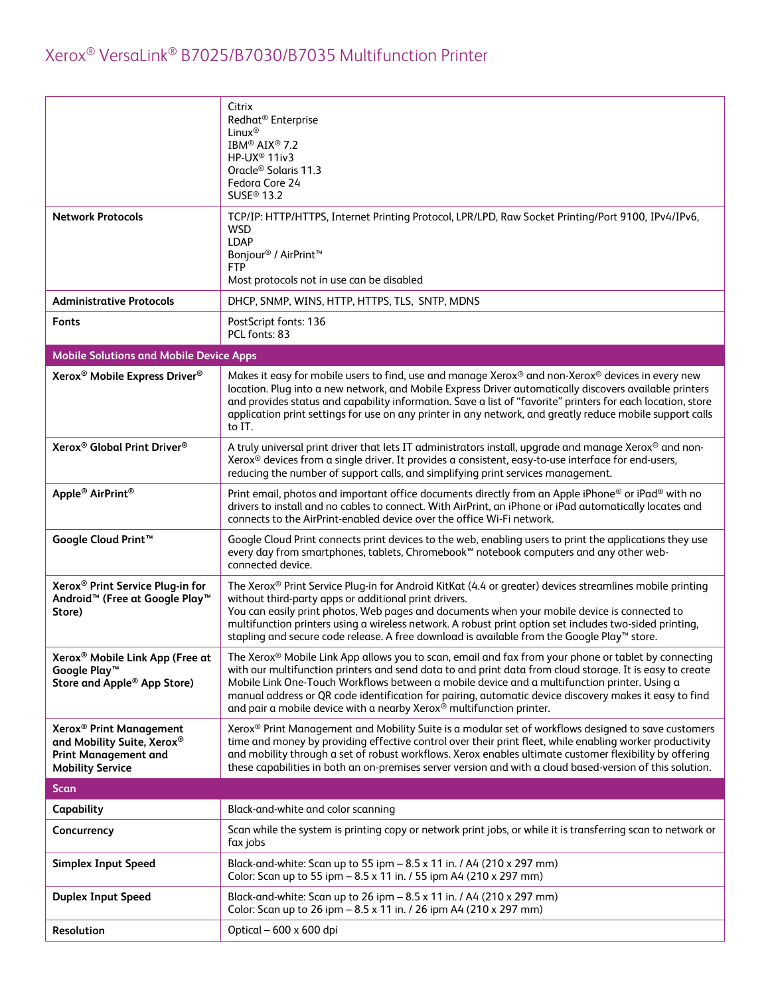| <b>Network Protocols</b>                                                                                                    | Citrix<br>Redhat <sup>®</sup> Enterprise<br>Linux <sup>®</sup><br>IBM <sup>®</sup> AIX <sup>®</sup> 7.2<br>HP-UX <sup>®</sup> 11iv3<br>Oracle <sup>®</sup> Solaris 11.3<br>Fedora Core 24<br>SUSE <sup>®</sup> 13.2<br>TCP/IP: HTTP/HTTPS, Internet Printing Protocol, LPR/LPD, Raw Socket Printing/Port 9100, IPv4/IPv6,                                                                                                                                                                          |
|-----------------------------------------------------------------------------------------------------------------------------|----------------------------------------------------------------------------------------------------------------------------------------------------------------------------------------------------------------------------------------------------------------------------------------------------------------------------------------------------------------------------------------------------------------------------------------------------------------------------------------------------|
|                                                                                                                             | <b>WSD</b><br><b>LDAP</b><br>Bonjour <sup>®</sup> / AirPrint <sup>™</sup><br><b>FTP</b><br>Most protocols not in use can be disabled                                                                                                                                                                                                                                                                                                                                                               |
| <b>Administrative Protocols</b>                                                                                             | DHCP, SNMP, WINS, HTTP, HTTPS, TLS, SNTP, MDNS                                                                                                                                                                                                                                                                                                                                                                                                                                                     |
| <b>Fonts</b>                                                                                                                | PostScript fonts: 136<br>PCL fonts: 83                                                                                                                                                                                                                                                                                                                                                                                                                                                             |
| <b>Mobile Solutions and Mobile Device Apps</b>                                                                              |                                                                                                                                                                                                                                                                                                                                                                                                                                                                                                    |
| Xerox <sup>®</sup> Mobile Express Driver <sup>®</sup>                                                                       | Makes it easy for mobile users to find, use and manage Xerox <sup>®</sup> and non-Xerox <sup>®</sup> devices in every new<br>location. Plug into a new network, and Mobile Express Driver automatically discovers available printers<br>and provides status and capability information. Save a list of "favorite" printers for each location, store<br>application print settings for use on any printer in any network, and greatly reduce mobile support calls<br>to IT.                         |
| Xerox <sup>®</sup> Global Print Driver <sup>®</sup>                                                                         | A truly universal print driver that lets IT administrators install, upgrade and manage Xerox® and non-<br>Xerox <sup>®</sup> devices from a single driver. It provides a consistent, easy-to-use interface for end-users,<br>reducing the number of support calls, and simplifying print services management.                                                                                                                                                                                      |
| Apple <sup>®</sup> AirPrint <sup>®</sup>                                                                                    | Print email, photos and important office documents directly from an Apple iPhone <sup>®</sup> or iPad <sup>®</sup> with no<br>drivers to install and no cables to connect. With AirPrint, an iPhone or iPad automatically locates and<br>connects to the AirPrint-enabled device over the office Wi-Fi network.                                                                                                                                                                                    |
| Google Cloud Print <sup>™</sup>                                                                                             | Google Cloud Print connects print devices to the web, enabling users to print the applications they use<br>every day from smartphones, tablets, Chromebook™ notebook computers and any other web-<br>connected device.                                                                                                                                                                                                                                                                             |
| Xerox <sup>®</sup> Print Service Plug-in for<br>Android <sup>™</sup> (Free at Google Play <sup>™</sup><br>Store)            | The Xerox® Print Service Plug-in for Android KitKat (4.4 or greater) devices streamlines mobile printing<br>without third-party apps or additional print drivers.<br>You can easily print photos, Web pages and documents when your mobile device is connected to<br>multifunction printers using a wireless network. A robust print option set includes two-sided printing,<br>stapling and secure code release. A free download is available from the Google Play™ store.                        |
| Xerox <sup>®</sup> Mobile Link App (Free at<br>Google Play <sup>™</sup><br>Store and Apple <sup>®</sup> App Store)          | The Xerox® Mobile Link App allows you to scan, email and fax from your phone or tablet by connecting<br>with our multifunction printers and send data to and print data from cloud storage. It is easy to create<br>Mobile Link One-Touch Workflows between a mobile device and a multifunction printer. Using a<br>manual address or QR code identification for pairing, automatic device discovery makes it easy to find<br>and pair a mobile device with a nearby Xerox® multifunction printer. |
| Xerox <sup>®</sup> Print Management<br>and Mobility Suite, Xerox®<br><b>Print Management and</b><br><b>Mobility Service</b> | Xerox <sup>®</sup> Print Management and Mobility Suite is a modular set of workflows designed to save customers<br>time and money by providing effective control over their print fleet, while enabling worker productivity<br>and mobility through a set of robust workflows. Xerox enables ultimate customer flexibility by offering<br>these capabilities in both an on-premises server version and with a cloud based-version of this solution.                                                |
| <b>Scan</b>                                                                                                                 |                                                                                                                                                                                                                                                                                                                                                                                                                                                                                                    |
| Capability                                                                                                                  | Black-and-white and color scanning                                                                                                                                                                                                                                                                                                                                                                                                                                                                 |
| Concurrency                                                                                                                 | Scan while the system is printing copy or network print jobs, or while it is transferring scan to network or<br>fax jobs                                                                                                                                                                                                                                                                                                                                                                           |
| <b>Simplex Input Speed</b>                                                                                                  | Black-and-white: Scan up to 55 ipm - 8.5 x 11 in. / A4 (210 x 297 mm)<br>Color: Scan up to 55 ipm - 8.5 x 11 in. / 55 ipm A4 (210 x 297 mm)                                                                                                                                                                                                                                                                                                                                                        |
| <b>Duplex Input Speed</b>                                                                                                   | Black-and-white: Scan up to 26 ipm - 8.5 x 11 in. / A4 (210 x 297 mm)<br>Color: Scan up to 26 ipm - 8.5 x 11 in. / 26 ipm A4 (210 x 297 mm)                                                                                                                                                                                                                                                                                                                                                        |
| Resolution                                                                                                                  | Optical - 600 x 600 dpi                                                                                                                                                                                                                                                                                                                                                                                                                                                                            |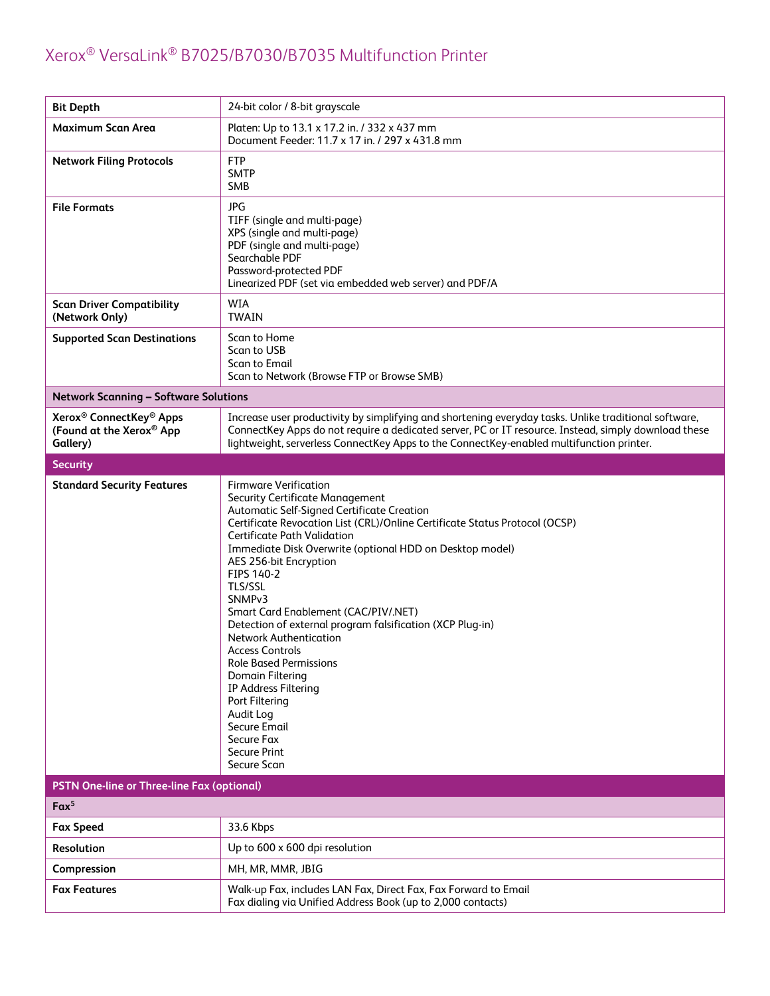| <b>Bit Depth</b>                                                                        | 24-bit color / 8-bit grayscale                                                                                                                                                                                                                                                                                                                                                                                                                                                                                                                                                                                                                                                                                                               |
|-----------------------------------------------------------------------------------------|----------------------------------------------------------------------------------------------------------------------------------------------------------------------------------------------------------------------------------------------------------------------------------------------------------------------------------------------------------------------------------------------------------------------------------------------------------------------------------------------------------------------------------------------------------------------------------------------------------------------------------------------------------------------------------------------------------------------------------------------|
| Maximum Scan Area                                                                       | Platen: Up to 13.1 x 17.2 in. / 332 x 437 mm<br>Document Feeder: 11.7 x 17 in. / 297 x 431.8 mm                                                                                                                                                                                                                                                                                                                                                                                                                                                                                                                                                                                                                                              |
| <b>Network Filing Protocols</b>                                                         | <b>FTP</b><br><b>SMTP</b><br><b>SMB</b>                                                                                                                                                                                                                                                                                                                                                                                                                                                                                                                                                                                                                                                                                                      |
| <b>File Formats</b>                                                                     | <b>JPG</b><br>TIFF (single and multi-page)<br>XPS (single and multi-page)<br>PDF (single and multi-page)<br>Searchable PDF<br>Password-protected PDF<br>Linearized PDF (set via embedded web server) and PDF/A                                                                                                                                                                                                                                                                                                                                                                                                                                                                                                                               |
| <b>Scan Driver Compatibility</b><br>(Network Only)                                      | <b>WIA</b><br><b>TWAIN</b>                                                                                                                                                                                                                                                                                                                                                                                                                                                                                                                                                                                                                                                                                                                   |
| <b>Supported Scan Destinations</b>                                                      | Scan to Home<br>Scan to USB<br><b>Scan to Email</b><br>Scan to Network (Browse FTP or Browse SMB)                                                                                                                                                                                                                                                                                                                                                                                                                                                                                                                                                                                                                                            |
| <b>Network Scanning - Software Solutions</b>                                            |                                                                                                                                                                                                                                                                                                                                                                                                                                                                                                                                                                                                                                                                                                                                              |
| Xerox <sup>®</sup> ConnectKey <sup>®</sup> Apps<br>(Found at the Xerox® App<br>Gallery) | Increase user productivity by simplifying and shortening everyday tasks. Unlike traditional software,<br>ConnectKey Apps do not require a dedicated server, PC or IT resource. Instead, simply download these<br>lightweight, serverless ConnectKey Apps to the ConnectKey-enabled multifunction printer.                                                                                                                                                                                                                                                                                                                                                                                                                                    |
| <b>Security</b>                                                                         |                                                                                                                                                                                                                                                                                                                                                                                                                                                                                                                                                                                                                                                                                                                                              |
| <b>Standard Security Features</b>                                                       | <b>Firmware Verification</b><br><b>Security Certificate Management</b><br>Automatic Self-Signed Certificate Creation<br>Certificate Revocation List (CRL)/Online Certificate Status Protocol (OCSP)<br><b>Certificate Path Validation</b><br>Immediate Disk Overwrite (optional HDD on Desktop model)<br>AES 256-bit Encryption<br>FIPS 140-2<br><b>TLS/SSL</b><br>SNMP <sub>v3</sub><br>Smart Card Enablement (CAC/PIV/.NET)<br>Detection of external program falsification (XCP Plug-in)<br><b>Network Authentication</b><br><b>Access Controls</b><br><b>Role Based Permissions</b><br><b>Domain Filtering</b><br>IP Address Filtering<br>Port Filtering<br>Audit Log<br>Secure Email<br>Secure Fax<br><b>Secure Print</b><br>Secure Scan |
| PSTN One-line or Three-line Fax (optional)                                              |                                                                                                                                                                                                                                                                                                                                                                                                                                                                                                                                                                                                                                                                                                                                              |
| Fax <sup>5</sup>                                                                        |                                                                                                                                                                                                                                                                                                                                                                                                                                                                                                                                                                                                                                                                                                                                              |
| <b>Fax Speed</b>                                                                        | 33.6 Kbps                                                                                                                                                                                                                                                                                                                                                                                                                                                                                                                                                                                                                                                                                                                                    |
| Resolution                                                                              | Up to 600 x 600 dpi resolution                                                                                                                                                                                                                                                                                                                                                                                                                                                                                                                                                                                                                                                                                                               |
| Compression                                                                             | MH, MR, MMR, JBIG                                                                                                                                                                                                                                                                                                                                                                                                                                                                                                                                                                                                                                                                                                                            |
| <b>Fax Features</b>                                                                     | Walk-up Fax, includes LAN Fax, Direct Fax, Fax Forward to Email<br>Fax dialing via Unified Address Book (up to 2,000 contacts)                                                                                                                                                                                                                                                                                                                                                                                                                                                                                                                                                                                                               |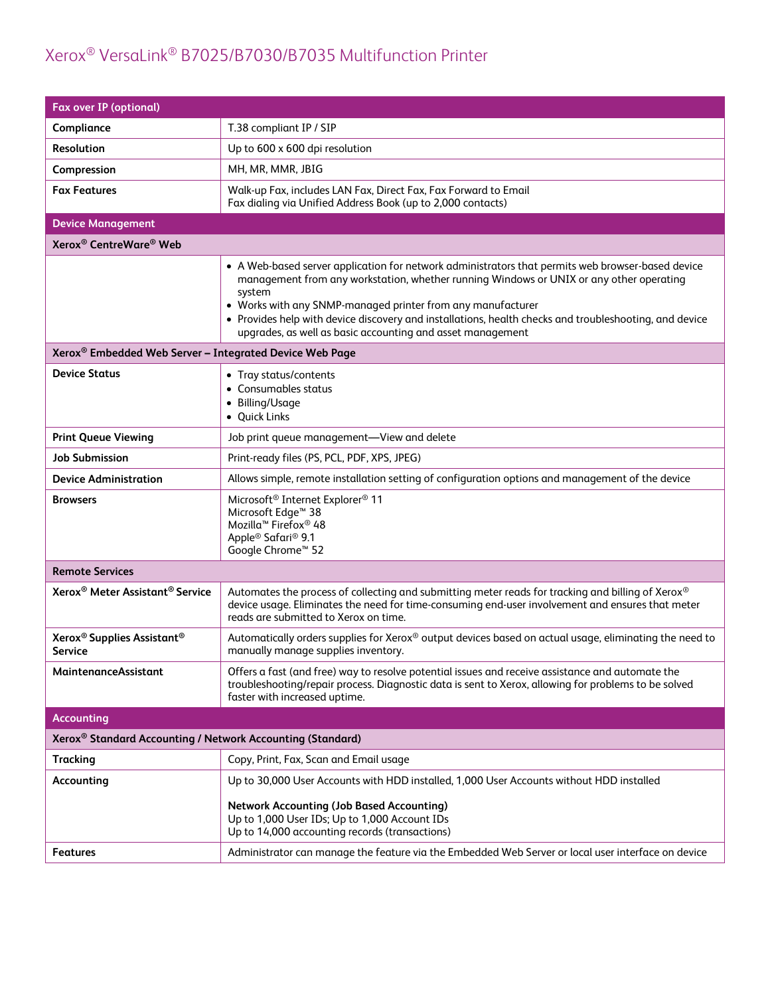| <b>Fax over IP (optional)</b>                                          |                                                                                                                                                                                                                                                                                                                                                                                                                                               |  |  |
|------------------------------------------------------------------------|-----------------------------------------------------------------------------------------------------------------------------------------------------------------------------------------------------------------------------------------------------------------------------------------------------------------------------------------------------------------------------------------------------------------------------------------------|--|--|
| Compliance                                                             | T.38 compliant IP / SIP                                                                                                                                                                                                                                                                                                                                                                                                                       |  |  |
| <b>Resolution</b>                                                      | Up to 600 x 600 dpi resolution                                                                                                                                                                                                                                                                                                                                                                                                                |  |  |
| Compression                                                            | MH, MR, MMR, JBIG                                                                                                                                                                                                                                                                                                                                                                                                                             |  |  |
| <b>Fax Features</b>                                                    | Walk-up Fax, includes LAN Fax, Direct Fax, Fax Forward to Email<br>Fax dialing via Unified Address Book (up to 2,000 contacts)                                                                                                                                                                                                                                                                                                                |  |  |
| <b>Device Management</b>                                               |                                                                                                                                                                                                                                                                                                                                                                                                                                               |  |  |
| Xerox <sup>®</sup> CentreWare <sup>®</sup> Web                         |                                                                                                                                                                                                                                                                                                                                                                                                                                               |  |  |
|                                                                        | • A Web-based server application for network administrators that permits web browser-based device<br>management from any workstation, whether running Windows or UNIX or any other operating<br>system<br>• Works with any SNMP-managed printer from any manufacturer<br>• Provides help with device discovery and installations, health checks and troubleshooting, and device<br>upgrades, as well as basic accounting and asset management |  |  |
| Xerox <sup>®</sup> Embedded Web Server - Integrated Device Web Page    |                                                                                                                                                                                                                                                                                                                                                                                                                                               |  |  |
| <b>Device Status</b>                                                   | • Tray status/contents<br>• Consumables status<br>• Billing/Usage<br>• Quick Links                                                                                                                                                                                                                                                                                                                                                            |  |  |
| <b>Print Queue Viewing</b>                                             | Job print queue management-View and delete                                                                                                                                                                                                                                                                                                                                                                                                    |  |  |
| <b>Job Submission</b>                                                  | Print-ready files (PS, PCL, PDF, XPS, JPEG)                                                                                                                                                                                                                                                                                                                                                                                                   |  |  |
| <b>Device Administration</b>                                           | Allows simple, remote installation setting of configuration options and management of the device                                                                                                                                                                                                                                                                                                                                              |  |  |
| <b>Browsers</b>                                                        | Microsoft <sup>®</sup> Internet Explorer <sup>®</sup> 11<br>Microsoft Edge <sup>™</sup> 38<br>Mozilla <sup>™</sup> Firefox <sup>®</sup> 48<br>Apple <sup>®</sup> Safari <sup>®</sup> 9.1<br>Google Chrome <sup>™</sup> 52                                                                                                                                                                                                                     |  |  |
| <b>Remote Services</b>                                                 |                                                                                                                                                                                                                                                                                                                                                                                                                                               |  |  |
| Xerox <sup>®</sup> Meter Assistant <sup>®</sup> Service                | Automates the process of collecting and submitting meter reads for tracking and billing of Xerox®<br>device usage. Eliminates the need for time-consuming end-user involvement and ensures that meter<br>reads are submitted to Xerox on time.                                                                                                                                                                                                |  |  |
| Xerox <sup>®</sup> Supplies Assistant <sup>®</sup><br><b>Service</b>   | Automatically orders supplies for Xerox® output devices based on actual usage, eliminating the need to<br>manually manage supplies inventory.                                                                                                                                                                                                                                                                                                 |  |  |
| MaintenanceAssistant                                                   | Offers a fast (and free) way to resolve potential issues and receive assistance and automate the<br>troubleshooting/repair process. Diagnostic data is sent to Xerox, allowing for problems to be solved<br>faster with increased uptime.                                                                                                                                                                                                     |  |  |
| <b>Accounting</b>                                                      |                                                                                                                                                                                                                                                                                                                                                                                                                                               |  |  |
| Xerox <sup>®</sup> Standard Accounting / Network Accounting (Standard) |                                                                                                                                                                                                                                                                                                                                                                                                                                               |  |  |
| <b>Tracking</b>                                                        | Copy, Print, Fax, Scan and Email usage                                                                                                                                                                                                                                                                                                                                                                                                        |  |  |
| Accounting                                                             | Up to 30,000 User Accounts with HDD installed, 1,000 User Accounts without HDD installed                                                                                                                                                                                                                                                                                                                                                      |  |  |
|                                                                        | <b>Network Accounting (Job Based Accounting)</b><br>Up to 1,000 User IDs; Up to 1,000 Account IDs<br>Up to 14,000 accounting records (transactions)                                                                                                                                                                                                                                                                                           |  |  |
| <b>Features</b>                                                        | Administrator can manage the feature via the Embedded Web Server or local user interface on device                                                                                                                                                                                                                                                                                                                                            |  |  |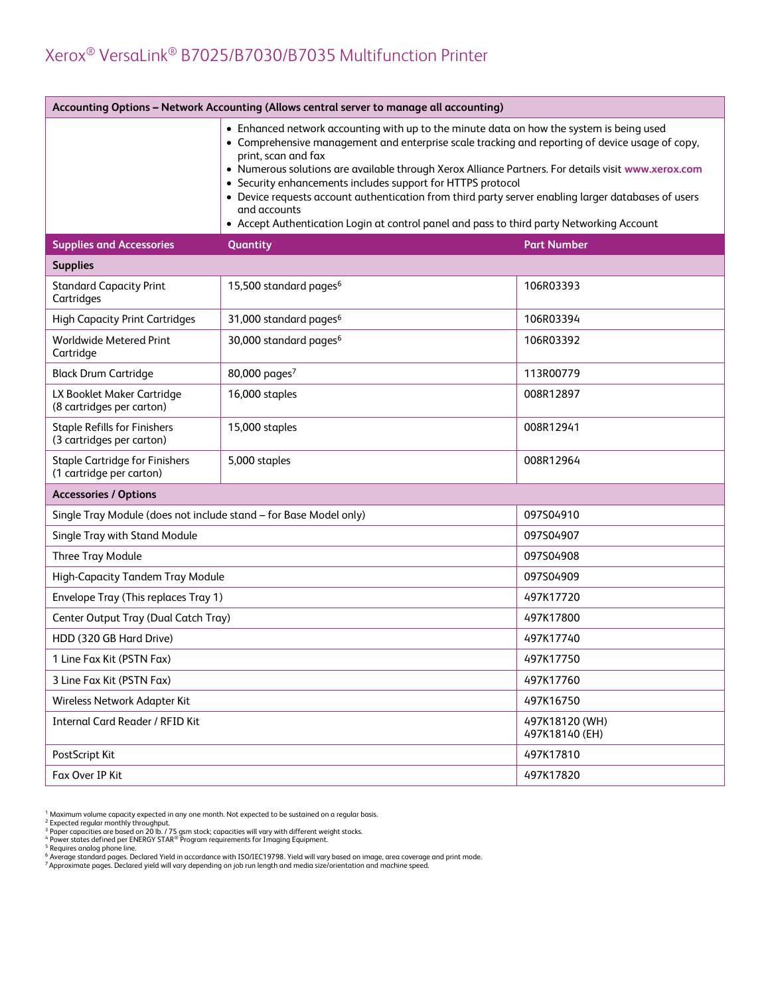| Accounting Options - Network Accounting (Allows central server to manage all accounting) |                                                                                                                                                                                                                                                                                                                                                                                                                                                                                                                                                                                                              |                                  |  |
|------------------------------------------------------------------------------------------|--------------------------------------------------------------------------------------------------------------------------------------------------------------------------------------------------------------------------------------------------------------------------------------------------------------------------------------------------------------------------------------------------------------------------------------------------------------------------------------------------------------------------------------------------------------------------------------------------------------|----------------------------------|--|
|                                                                                          | • Enhanced network accounting with up to the minute data on how the system is being used<br>• Comprehensive management and enterprise scale tracking and reporting of device usage of copy,<br>print, scan and fax<br>• Numerous solutions are available through Xerox Alliance Partners. For details visit www.xerox.com<br>• Security enhancements includes support for HTTPS protocol<br>• Device requests account authentication from third party server enabling larger databases of users<br>and accounts<br>• Accept Authentication Login at control panel and pass to third party Networking Account |                                  |  |
| <b>Supplies and Accessories</b>                                                          | Quantity<br><b>Part Number</b>                                                                                                                                                                                                                                                                                                                                                                                                                                                                                                                                                                               |                                  |  |
| <b>Supplies</b>                                                                          |                                                                                                                                                                                                                                                                                                                                                                                                                                                                                                                                                                                                              |                                  |  |
| <b>Standard Capacity Print</b><br>Cartridges                                             | 15,500 standard pages <sup>6</sup>                                                                                                                                                                                                                                                                                                                                                                                                                                                                                                                                                                           | 106R03393                        |  |
| <b>High Capacity Print Cartridges</b>                                                    | 31,000 standard pages <sup>6</sup>                                                                                                                                                                                                                                                                                                                                                                                                                                                                                                                                                                           | 106R03394                        |  |
| Worldwide Metered Print<br>Cartridge                                                     | 30,000 standard pages <sup>6</sup>                                                                                                                                                                                                                                                                                                                                                                                                                                                                                                                                                                           | 106R03392                        |  |
| <b>Black Drum Cartridge</b>                                                              | 80,000 pages <sup>7</sup>                                                                                                                                                                                                                                                                                                                                                                                                                                                                                                                                                                                    | 113R00779                        |  |
| LX Booklet Maker Cartridge<br>(8 cartridges per carton)                                  | 16,000 staples                                                                                                                                                                                                                                                                                                                                                                                                                                                                                                                                                                                               | 008R12897                        |  |
| <b>Staple Refills for Finishers</b><br>(3 cartridges per carton)                         | 15,000 staples                                                                                                                                                                                                                                                                                                                                                                                                                                                                                                                                                                                               | 008R12941                        |  |
| <b>Staple Cartridge for Finishers</b><br>(1 cartridge per carton)                        | 5,000 staples                                                                                                                                                                                                                                                                                                                                                                                                                                                                                                                                                                                                | 008R12964                        |  |
| <b>Accessories / Options</b>                                                             |                                                                                                                                                                                                                                                                                                                                                                                                                                                                                                                                                                                                              |                                  |  |
| Single Tray Module (does not include stand - for Base Model only)                        |                                                                                                                                                                                                                                                                                                                                                                                                                                                                                                                                                                                                              | 097S04910                        |  |
| Single Tray with Stand Module                                                            |                                                                                                                                                                                                                                                                                                                                                                                                                                                                                                                                                                                                              | 097S04907                        |  |
| Three Tray Module                                                                        |                                                                                                                                                                                                                                                                                                                                                                                                                                                                                                                                                                                                              | 097S04908                        |  |
| High-Capacity Tandem Tray Module                                                         |                                                                                                                                                                                                                                                                                                                                                                                                                                                                                                                                                                                                              | 097S04909                        |  |
| Envelope Tray (This replaces Tray 1)                                                     |                                                                                                                                                                                                                                                                                                                                                                                                                                                                                                                                                                                                              | 497K17720                        |  |
| Center Output Tray (Dual Catch Tray)                                                     |                                                                                                                                                                                                                                                                                                                                                                                                                                                                                                                                                                                                              | 497K17800                        |  |
| HDD (320 GB Hard Drive)                                                                  |                                                                                                                                                                                                                                                                                                                                                                                                                                                                                                                                                                                                              | 497K17740                        |  |
| 1 Line Fax Kit (PSTN Fax)                                                                |                                                                                                                                                                                                                                                                                                                                                                                                                                                                                                                                                                                                              | 497K17750                        |  |
| 3 Line Fax Kit (PSTN Fax)                                                                |                                                                                                                                                                                                                                                                                                                                                                                                                                                                                                                                                                                                              | 497K17760                        |  |
| Wireless Network Adapter Kit                                                             |                                                                                                                                                                                                                                                                                                                                                                                                                                                                                                                                                                                                              | 497K16750                        |  |
| <b>Internal Card Reader / RFID Kit</b>                                                   |                                                                                                                                                                                                                                                                                                                                                                                                                                                                                                                                                                                                              | 497K18120 (WH)<br>497K18140 (EH) |  |
| PostScript Kit                                                                           |                                                                                                                                                                                                                                                                                                                                                                                                                                                                                                                                                                                                              | 497K17810                        |  |
| Fax Over IP Kit                                                                          |                                                                                                                                                                                                                                                                                                                                                                                                                                                                                                                                                                                                              | 497K17820                        |  |

<sup>1</sup> Maximum volume capacity expected in any one month. Not expected to be sustained on a regular basis.<br><sup>3</sup> Papected regular monthly throughput.<br><sup>3</sup> Paper capacities are based on 20 lb. / 75 gsm stock; capacities will vary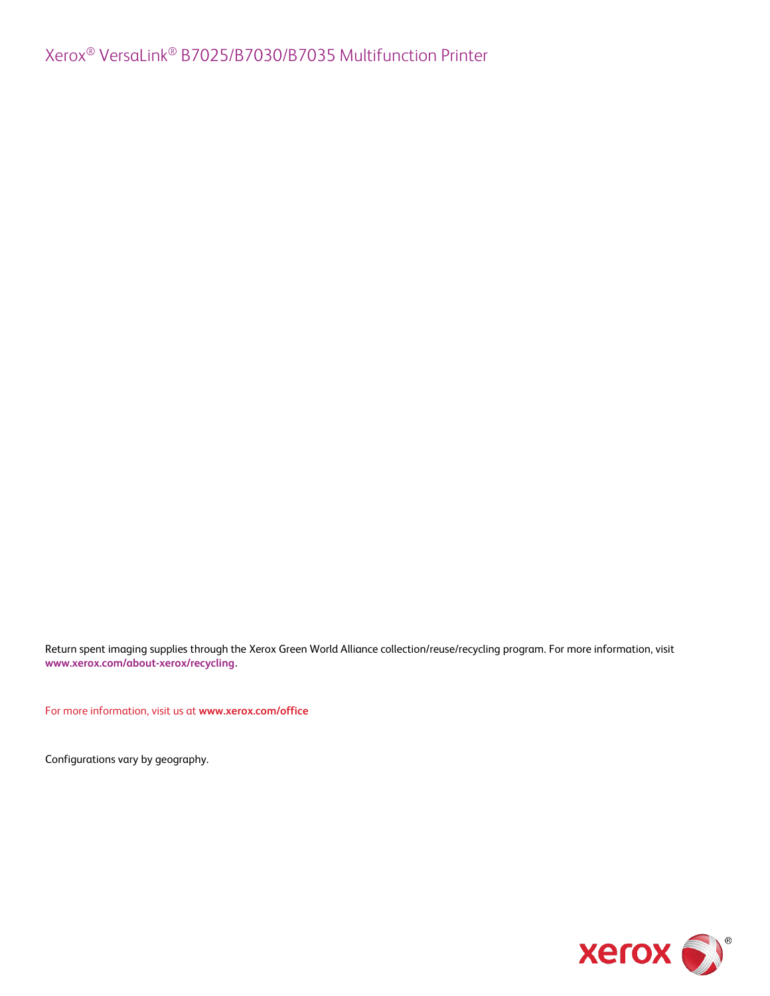Return spent imaging supplies through the Xerox Green World Alliance collection/reuse/recycling program. For more information, visit **[www.xerox.com/about-xerox/recycling](http://www.xerox.com/about-xerox/recycling)**.

For more information, visit us at **www.xerox.com/office**

Configurations vary by geography.